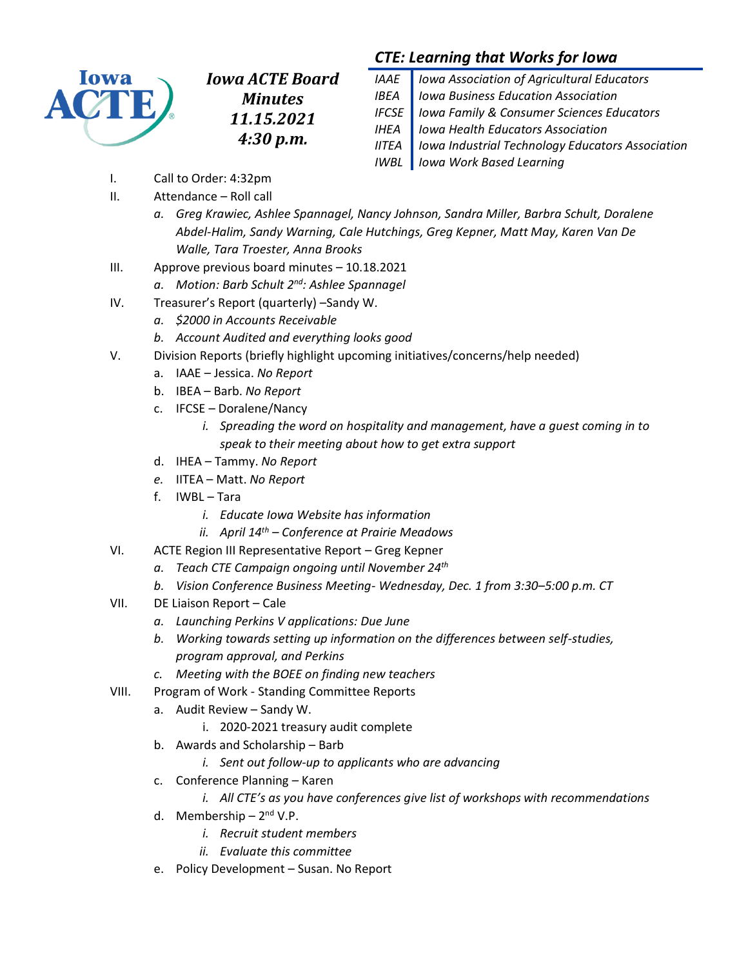

*Iowa ACTE Board Minutes 11.15.2021 4:30 p.m.*

# *CTE: Learning that Works for Iowa*

| IAAE   Iowa Association of Agricultural Educators        |
|----------------------------------------------------------|
| IBEA   Iowa Business Education Association               |
| IFCSE   Iowa Family & Consumer Sciences Educators        |
| <b>IHEA</b>   Iowa Health Educators Association          |
| IITEA   Iowa Industrial Technology Educators Association |
| <b>IWBL</b> lowa Work Based Learning                     |

- I. Call to Order: 4:32pm
- II. Attendance Roll call
	- *a. Greg Krawiec, Ashlee Spannagel, Nancy Johnson, Sandra Miller, Barbra Schult, Doralene Abdel-Halim, Sandy Warning, Cale Hutchings, Greg Kepner, Matt May, Karen Van De Walle, Tara Troester, Anna Brooks*
- III. Approve previous board minutes 10.18.2021
	- *a. Motion: Barb Schult 2nd: Ashlee Spannagel*
- IV. Treasurer's Report (quarterly) –Sandy W.
	- *a. \$2000 in Accounts Receivable*
	- *b. Account Audited and everything looks good*
- V. Division Reports (briefly highlight upcoming initiatives/concerns/help needed)
	- a. IAAE Jessica. *No Report*
	- b. IBEA Barb. *No Report*
	- c. IFCSE Doralene/Nancy
		- *i. Spreading the word on hospitality and management, have a guest coming in to speak to their meeting about how to get extra support*
	- d. IHEA Tammy. *No Report*
	- *e.* IITEA Matt. *No Report*
	- f. IWBL Tara
		- *i. Educate Iowa Website has information*
		- *ii. April 14th – Conference at Prairie Meadows*
- VI. ACTE Region III Representative Report Greg Kepner
	- *a. Teach CTE Campaign ongoing until November 24th*
	- *b. Vision Conference Business Meeting- Wednesday, Dec. 1 from 3:30–5:00 p.m. CT*
- VII. DE Liaison Report Cale
	- *a. Launching Perkins V applications: Due June*
	- *b. Working towards setting up information on the differences between self-studies, program approval, and Perkins*
	- *c. Meeting with the BOEE on finding new teachers*
- VIII. Program of Work Standing Committee Reports
	- a. Audit Review Sandy W.
		- i. 2020-2021 treasury audit complete
	- b. Awards and Scholarship Barb
		- *i. Sent out follow-up to applicants who are advancing*
	- c. Conference Planning Karen
		- *i. All CTE's as you have conferences give list of workshops with recommendations*
	- d. Membership 2<sup>nd</sup> V.P.
		- *i. Recruit student members*
		- *ii. Evaluate this committee*
	- e. Policy Development Susan. No Report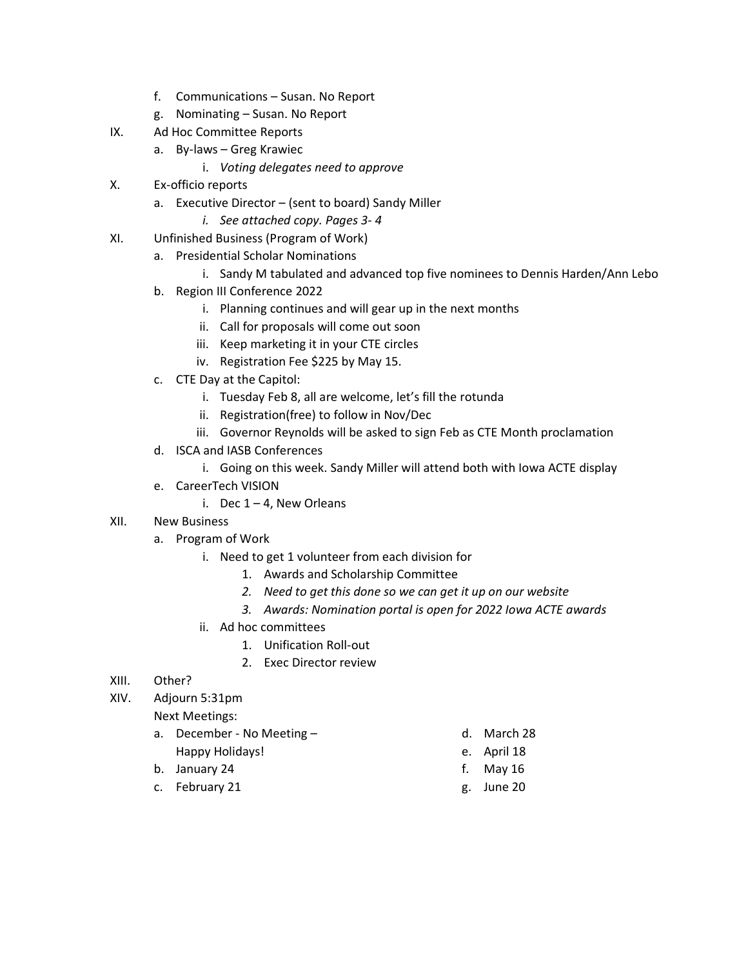- f. Communications Susan. No Report
- g. Nominating Susan. No Report
- IX. Ad Hoc Committee Reports
	- a. By-laws Greg Krawiec
		- i. *Voting delegates need to approve*
- X. Ex-officio reports
	- a. Executive Director (sent to board) Sandy Miller
		- *i. See attached copy. Pages 3- 4*
- XI. Unfinished Business (Program of Work)
	- a. Presidential Scholar Nominations
		- i. Sandy M tabulated and advanced top five nominees to Dennis Harden/Ann Lebo
		- b. Region III Conference 2022
			- i. Planning continues and will gear up in the next months
			- ii. Call for proposals will come out soon
			- iii. Keep marketing it in your CTE circles
			- iv. Registration Fee \$225 by May 15.
		- c. CTE Day at the Capitol:
			- i. Tuesday Feb 8, all are welcome, let's fill the rotunda
			- ii. Registration(free) to follow in Nov/Dec
			- iii. Governor Reynolds will be asked to sign Feb as CTE Month proclamation
		- d. ISCA and IASB Conferences
			- i. Going on this week. Sandy Miller will attend both with Iowa ACTE display
		- e. CareerTech VISION
			- i. Dec  $1 4$ , New Orleans

## XII. New Business

- a. Program of Work
	- i. Need to get 1 volunteer from each division for
		- 1. Awards and Scholarship Committee
		- *2. Need to get this done so we can get it up on our website*
		- *3. Awards: Nomination portal is open for 2022 Iowa ACTE awards*
	- ii. Ad hoc committees
		- 1. Unification Roll-out
		- 2. Exec Director review
- XIII. Other?
- XIV. Adjourn 5:31pm

Next Meetings:

- a. December No Meeting Happy Holidays!
- b. January 24
- c. February 21
- d. March 28
- e. April 18
- f. May 16
- g. June 20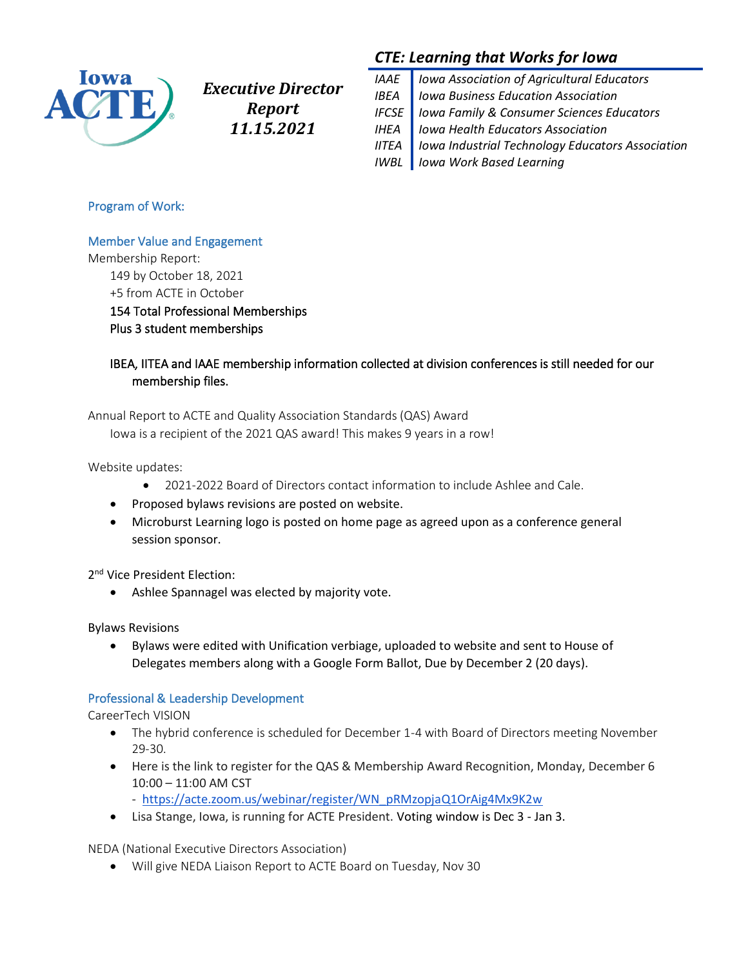

*Executive Director Report 11.15.2021*

# *CTE: Learning that Works for Iowa*

| IAAE   Iowa Association of Agricultural Educators        |
|----------------------------------------------------------|
| <b>IBEA</b>   Iowa Business Education Association        |
| <b>IFCSE</b>   Iowa Family & Consumer Sciences Educators |
| <b>IHEA</b>   Iowa Health Educators Association          |
| IITEA   Iowa Industrial Technology Educators Association |
| <b>IWBL</b> lowa Work Based Learning                     |

### Program of Work:

### Member Value and Engagement

Membership Report:

149 by October 18, 2021 +5 from ACTE in October

154 Total Professional Memberships Plus 3 student memberships

## IBEA, IITEA and IAAE membership information collected at division conferences is still needed for our membership files.

Annual Report to ACTE and Quality Association Standards (QAS) Award

Iowa is a recipient of the 2021 QAS award! This makes 9 years in a row!

Website updates:

- 2021-2022 Board of Directors contact information to include Ashlee and Cale.
- Proposed bylaws revisions are posted on website.
- Microburst Learning logo is posted on home page as agreed upon as a conference general session sponsor.

2<sup>nd</sup> Vice President Election:

• Ashlee Spannagel was elected by majority vote.

Bylaws Revisions

• Bylaws were edited with Unification verbiage, uploaded to website and sent to House of Delegates members along with a Google Form Ballot, Due by December 2 (20 days).

## Professional & Leadership Development

CareerTech VISION

- The hybrid conference is scheduled for December 1-4 with Board of Directors meeting November 29-30.
- Here is the link to register for the QAS & Membership Award Recognition, Monday, December 6 10:00 – 11:00 AM CST
	- -[https://acte.zoom.us/webinar/register/WN\\_pRMzopjaQ1OrAig4Mx9K2w](https://acte.zoom.us/webinar/register/WN_pRMzopjaQ1OrAig4Mx9K2w)
- Lisa Stange, Iowa, is running for ACTE President. Voting window is Dec 3 Jan 3.

NEDA (National Executive Directors Association)

• Will give NEDA Liaison Report to ACTE Board on Tuesday, Nov 30